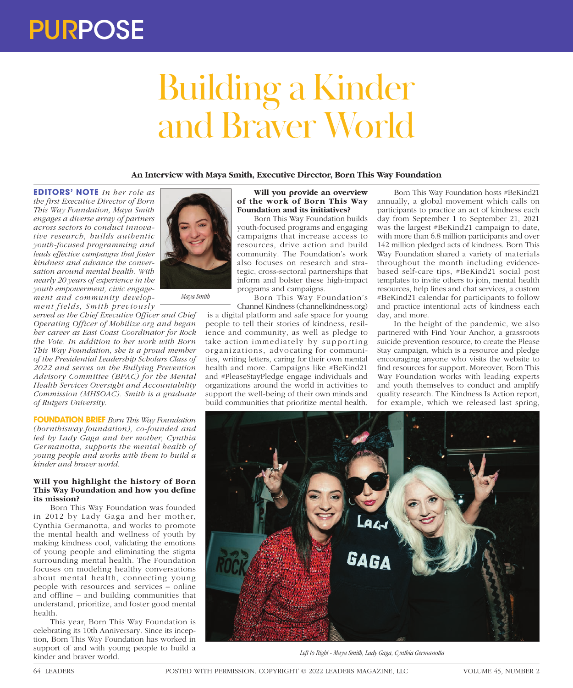# Building a Kinder and Braver World

**An Interview with Maya Smith, Executive Director, Born This Way Foundation**

**EDITORS' NOTE** *In her role as the first Executive Director of Born This Way Foundation, Maya Smith engages a diverse array of partners across sectors to conduct innovative research, builds authentic youth-focused programming and leads effective campaigns that foster kindness and advance the conversation around mental health. With nearly 20 years of experience in the youth empowerment, civic engagement and community develop* $ment fields, Smith \ previously$ 

*served as the Chief Executive Officer and Chief Operating Officer of Mobilize.org and began her career as East Coast Coordinator for Rock the Vote. In addition to her work with Born This Way Foundation, she is a proud member of the Presidential Leadership Scholars Class of 2022 and serves on the Bullying Prevention Advisory Committee (BPAC) for the Mental Health Services Oversight and Accountability Commission (MHSOAC). Smith is a graduate of Rutgers University.* 

*Maya Smith*

**FOUNDATION BRIEF** *Born This Way Foundation (bornthisway.foundation), co-founded and led by Lady Gaga and her mother, Cynthia Germanotta, supports the mental health of young people and works with them to build a kinder and braver world.* 

# **Will you highlight the history of Born This Way Foundation and how you define its mission?**

Born This Way Foundation was founded in 2012 by Lady Gaga and her mother, Cynthia Germanotta, and works to promote the mental health and wellness of youth by making kindness cool, validating the emotions of young people and eliminating the stigma surrounding mental health. The Foundation focuses on modeling healthy conversations about mental health, connecting young people with resources and services – online and offline – and building communities that understand, prioritize, and foster good mental health.

This year, Born This Way Foundation is celebrating its 10th Anniversary. Since its inception, Born This Way Foundation has worked in support of and with young people to build a kinder and braver world.



Born This Way Foundation builds youth-focused programs and engaging campaigns that increase access to resources, drive action and build community. The Foundation's work also focuses on research and strategic, cross-sectoral partnerships that inform and bolster these high-impact programs and campaigns.

Born This Way Foundation's Channel Kindness (channelkindness.org)

 is a digital platform and safe space for young people to tell their stories of kindness, resilience and community, as well as pledge to take action immediately by supporting organizations, advocating for communities, writing letters, caring for their own mental health and more. Campaigns like #BeKind21 and #PleaseStayPledge engage individuals and organizations around the world in activities to support the well-being of their own minds and build communities that prioritize mental health.

Born This Way Foundation hosts #BeKind21 annually, a global movement which calls on participants to practice an act of kindness each day from September 1 to September 21, 2021 was the largest #BeKind21 campaign to date, with more than 6.8 million participants and over 142 million pledged acts of kindness. Born This Way Foundation shared a variety of materials throughout the month including evidencebased self-care tips, #BeKind21 social post templates to invite others to join, mental health resources, help lines and chat services, a custom #BeKind21 calendar for participants to follow and practice intentional acts of kindness each day, and more.

In the height of the pandemic, we also partnered with Find Your Anchor, a grassroots suicide prevention resource, to create the Please Stay campaign, which is a resource and pledge encouraging anyone who visits the website to find resources for support. Moreover, Born This Way Foundation works with leading experts and youth themselves to conduct and amplify quality research. The Kindness Is Action report, for example, which we released last spring,



*Left to Right - Maya Smith, Lady Gaga, Cynthia Germanotta*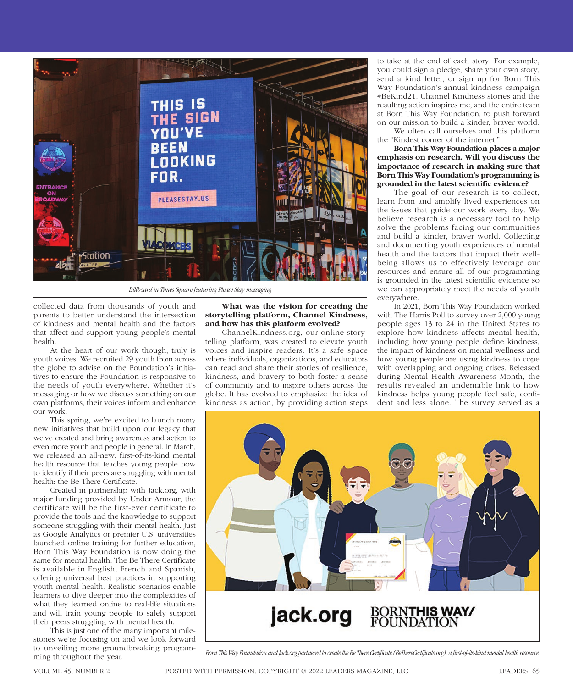

*Billboard in Times Square featuring Please Stay messaging*

collected data from thousands of youth and parents to better understand the intersection of kindness and mental health and the factors that affect and support young people's mental health.

At the heart of our work though, truly is youth voices. We recruited 29 youth from across the globe to advise on the Foundation's initiatives to ensure the Foundation is responsive to the needs of youth everywhere. Whether it's messaging or how we discuss something on our own platforms, their voices inform and enhance our work.

This spring, we're excited to launch many new initiatives that build upon our legacy that we've created and bring awareness and action to even more youth and people in general. In March, we released an all-new, first-of-its-kind mental health resource that teaches young people how to identify if their peers are struggling with mental health: the Be There Certificate.

Created in partnership with Jack.org, with major funding provided by Under Armour, the certificate will be the first-ever certificate to provide the tools and the knowledge to support someone struggling with their mental health. Just as Google Analytics or premier U.S. universities launched online training for further education, Born This Way Foundation is now doing the same for mental health. The Be There Certificate is available in English, French and Spanish, offering universal best practices in supporting youth mental health. Realistic scenarios enable learners to dive deeper into the complexities of what they learned online to real-life situations and will train young people to safely support their peers struggling with mental health.

This is just one of the many important milestones we're focusing on and we look forward to unveiling more groundbreaking programming throughout the year.

**What was the vision for creating the storytelling platform, Channel Kindness, and how has this platform evolved?** 

ChannelKindness.org, our online storytelling platform, was created to elevate youth voices and inspire readers. It's a safe space where individuals, organizations, and educators can read and share their stories of resilience, kindness, and bravery to both foster a sense of community and to inspire others across the globe. It has evolved to emphasize the idea of kindness as action, by providing action steps

to take at the end of each story. For example, you could sign a pledge, share your own story, send a kind letter, or sign up for Born This Way Foundation's annual kindness campaign #BeKind21. Channel Kindness stories and the resulting action inspires me, and the entire team at Born This Way Foundation, to push forward on our mission to build a kinder, braver world.

We often call ourselves and this platform the "Kindest corner of the internet!"

### **Born This Way Foundation places a major emphasis on research. Will you discuss the importance of research in making sure that Born This Way Foundation's programming is grounded in the latest scientific evidence?**

The goal of our research is to collect, learn from and amplify lived experiences on the issues that guide our work every day. We believe research is a necessary tool to help solve the problems facing our communities and build a kinder, braver world. Collecting and documenting youth experiences of mental health and the factors that impact their wellbeing allows us to effectively leverage our resources and ensure all of our programming is grounded in the latest scientific evidence so we can appropriately meet the needs of youth everywhere.

In 2021, Born This Way Foundation worked with The Harris Poll to survey over 2,000 young people ages 13 to 24 in the United States to explore how kindness affects mental health, including how young people define kindness, the impact of kindness on mental wellness and how young people are using kindness to cope with overlapping and ongoing crises. Released during Mental Health Awareness Month, the results revealed an undeniable link to how kindness helps young people feel safe, confident and less alone. The survey served as a



*Born This Way Foundation and Jack.org partnered to create the Be There Certificate (BeThereCertificate.org), a first-of-its-kind mental health resource*